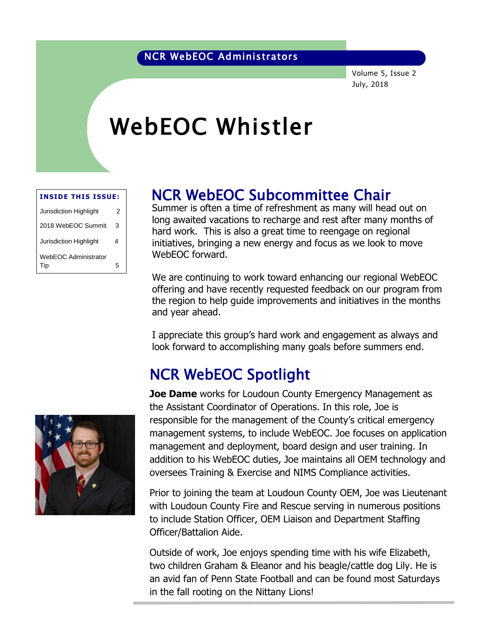#### NCR WebEOC Administrators

Volume 5, Issue 2 July, 2018

# WebEOC Whistler

| <b>INSIDE THIS ISSUE:</b>          |   |  |  |  |  |  |
|------------------------------------|---|--|--|--|--|--|
| <b>Jurisdiction Highlight</b>      | 2 |  |  |  |  |  |
| 2018 WebEOC Summit                 | 3 |  |  |  |  |  |
| Jurisdiction Highlight             | 4 |  |  |  |  |  |
| <b>WebEOC Administrator</b><br>Tip | 5 |  |  |  |  |  |

## NCR WebEOC Subcommittee Chair

Summer is often a time of refreshment as many will head out on be an interest in a time of reflexance to many will head out on hard work. This is also a great time to reengage on regional initiatives, bringing a new energy and focus as we look to move WebEOC forward.

We are continuing to work toward enhancing our regional WebEOC offering and have recently requested feedback on our program from the region to help guide improvements and initiatives in the months and year ahead.

I appreciate this group's hard work and engagement as always and look forward to accomplishing many goals before summers end.

## NCR WebEOC Spotlight



**Joe Dame** works for Loudoun County Emergency Management as the Assistant Coordinator of Operations. In this role, Joe is responsible for the management of the County's critical emergency management systems, to include WebEOC. Joe focuses on application management and deployment, board design and user training. In addition to his WebEOC duties, Joe maintains all OEM technology and oversees Training & Exercise and NIMS Compliance activities.

Prior to joining the team at Loudoun County OEM, Joe was Lieutenant with Loudoun County Fire and Rescue serving in numerous positions to include Station Officer, OEM Liaison and Department Staffing Officer/Battalion Aide.

Outside of work, Joe enjoys spending time with his wife Elizabeth, two children Graham & Eleanor and his beagle/cattle dog Lily. He is an avid fan of Penn State Football and can be found most Saturdays in the fall rooting on the Nittany Lions!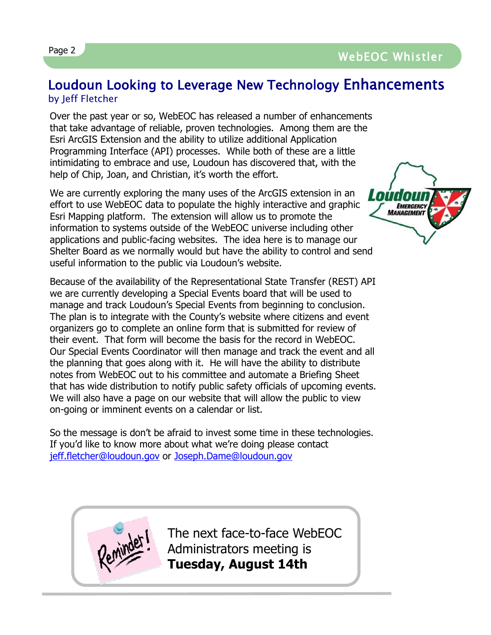### Loudoun Looking to Leverage New Technology Enhancements by Jeff Fletcher

EMERGENCY<br>MANAGEMENT

Over the past year or so, WebEOC has released a number of enhancements that take advantage of reliable, proven technologies. Among them are the Esri ArcGIS Extension and the ability to utilize additional Application Programming Interface (API) processes. While both of these are a little intimidating to embrace and use, Loudoun has discovered that, with the help of Chip, Joan, and Christian, it's worth the effort.

We are currently exploring the many uses of the ArcGIS extension in an effort to use WebEOC data to populate the highly interactive and graphic Esri Mapping platform. The extension will allow us to promote the information to systems outside of the WebEOC universe including other applications and public-facing websites. The idea here is to manage our Shelter Board as we normally would but have the ability to control and send useful information to the public via Loudoun's website.

Because of the availability of the Representational State Transfer (REST) API we are currently developing a Special Events board that will be used to manage and track Loudoun's Special Events from beginning to conclusion. The plan is to integrate with the County's website where citizens and event organizers go to complete an online form that is submitted for review of their event. That form will become the basis for the record in WebEOC. Our Special Events Coordinator will then manage and track the event and all the planning that goes along with it. He will have the ability to distribute notes from WebEOC out to his committee and automate a Briefing Sheet that has wide distribution to notify public safety officials of upcoming events. We will also have a page on our website that will allow the public to view on-going or imminent events on a calendar or list.

So the message is don't be afraid to invest some time in these technologies. If you'd like to know more about what we're doing please contact [jeff.fletcher@loudoun.gov](mailto:jeff.fletcher@loudoun.gov) or [Joseph.Dame@loudoun.gov](mailto:Joseph.Dame@loudoun.gov)



The next face-to-face WebEOC Administrators meeting is **Tuesday, August 14th**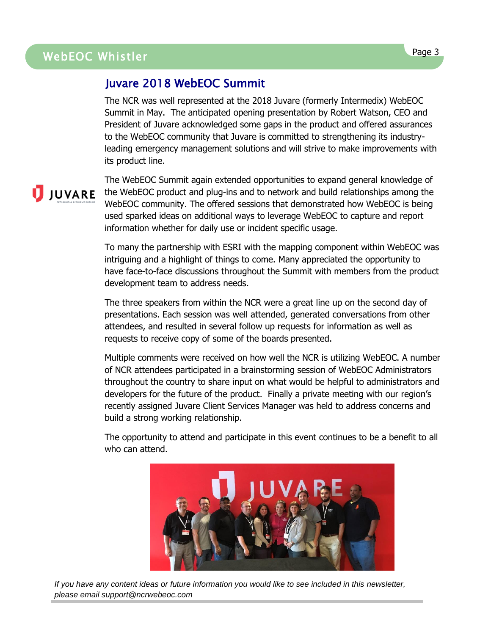## WebEOC Whistler Page 3 WebEOC Whistler

#### Juvare 2018 WebEOC Summit

The NCR was well represented at the 2018 Juvare (formerly Intermedix) WebEOC Summit in May. The anticipated opening presentation by Robert Watson, CEO and President of Juvare acknowledged some gaps in the product and offered assurances to the WebEOC community that Juvare is committed to strengthening its industryleading emergency management solutions and will strive to make improvements with its product line.

The WebEOC Summit again extended opportunities to expand general knowledge of **JUVARE** the WebEOC product and plug-ins and to network and build relationships among the WebEOC community. The offered sessions that demonstrated how WebEOC is being used sparked ideas on additional ways to leverage WebEOC to capture and report information whether for daily use or incident specific usage.

> To many the partnership with ESRI with the mapping component within WebEOC was intriguing and a highlight of things to come. Many appreciated the opportunity to have face-to-face discussions throughout the Summit with members from the product development team to address needs.

The three speakers from within the NCR were a great line up on the second day of presentations. Each session was well attended, generated conversations from other attendees, and resulted in several follow up requests for information as well as requests to receive copy of some of the boards presented.

Multiple comments were received on how well the NCR is utilizing WebEOC. A number of NCR attendees participated in a brainstorming session of WebEOC Administrators throughout the country to share input on what would be helpful to administrators and developers for the future of the product. Finally a private meeting with our region's recently assigned Juvare Client Services Manager was held to address concerns and build a strong working relationship.

The opportunity to attend and participate in this event continues to be a benefit to all who can attend.



*If you have any content ideas or future information you would like to see included in this newsletter, please email support@ncrwebeoc.com*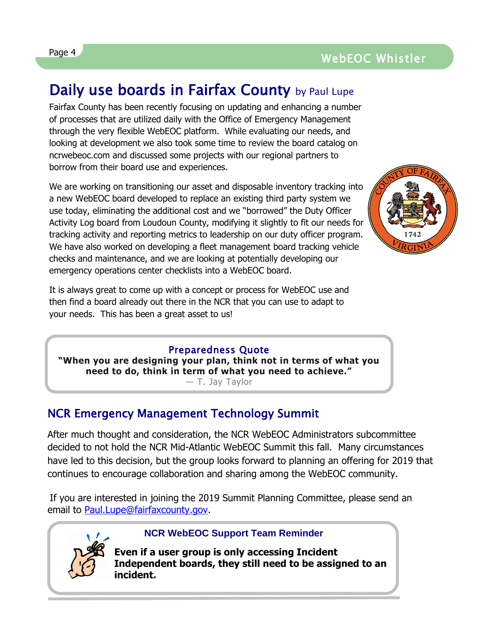#### Page 4 and the contract of the contract of the contract of the contract of the contract of the contract of the contract of the contract of the contract of the contract of the contract of the contract of the contract of the WebEOC Whistler

## Daily use boards in Fairfax County by Paul Lupe

Fairfax County has been recently focusing on updating and enhancing a number of processes that are utilized daily with the Office of Emergency Management through the very flexible WebEOC platform. While evaluating our needs, and looking at development we also took some time to review the board catalog on ncrwebeoc.com and discussed some projects with our regional partners to borrow from their board use and experiences.

We are working on transitioning our asset and disposable inventory tracking into a new WebEOC board developed to replace an existing third party system we use today, eliminating the additional cost and we "borrowed" the Duty Officer Activity Log board from Loudoun County, modifying it slightly to fit our needs for tracking activity and reporting metrics to leadership on our duty officer program. We have also worked on developing a fleet management board tracking vehicle checks and maintenance, and we are looking at potentially developing our emergency operations center checklists into a WebEOC board.



It is always great to come up with a concept or process for WebEOC use and then find a board already out there in the NCR that you can use to adapt to your needs. This has been a great asset to us!

#### Preparedness Quote

**"When you are designing your plan, think not in terms of what you need to do, think in term of what you need to achieve."**

― [T. Jay Taylor](https://www.goodreads.com/author/show/17034525.T_Jay_Taylor)

#### NCR Emergency Management Technology Summit

After much thought and consideration, the NCR WebEOC Administrators subcommittee decided to not hold the NCR Mid-Atlantic WebEOC Summit this fall. Many circumstances have led to this decision, but the group looks forward to planning an offering for 2019 that continues to encourage collaboration and sharing among the WebEOC community.

If you are interested in joining the 2019 Summit Planning Committee, please send an email to [Paul.Lupe@fairfaxcounty.gov.](mailto:Paul.lupe@fairfaxcounty.gov)



#### **NCR WebEOC Support Team Reminder**

**Even if a user group is only accessing Incident Independent boards, they still need to be assigned to an incident.**

L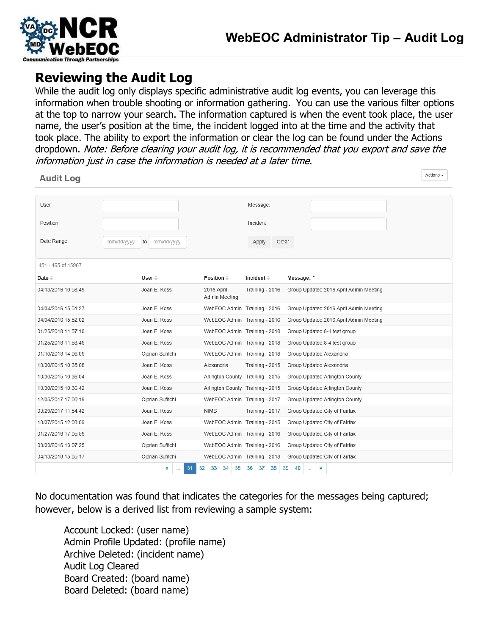

## **Reviewing the Audit Log**

While the audit log only displays specific administrative audit log events, you can leverage this information when trouble shooting or information gathering. You can use the various filter options at the top to narrow your search. The information captured is when the event took place, the user name, the user's position at the time, the incident logged into at the time and the activity that took place. The ability to export the information or clear the log can be found under the Actions dropdown. Note: Before clearing your audit log, it is recommended that you export and save the information just in case the information is needed at a later time.

| <b>Audit Log</b>         |                  |                                  |                    |                                         | Actions $\star$ |
|--------------------------|------------------|----------------------------------|--------------------|-----------------------------------------|-----------------|
|                          |                  |                                  |                    |                                         |                 |
| User                     |                  |                                  | Message:           |                                         |                 |
| Position                 |                  |                                  | Incident           |                                         |                 |
| Date Range<br>mm/dd/yyyy | mm/dd/yyyy<br>to |                                  | Clear<br>Apply     |                                         |                 |
| 451 - 465 of 15907       |                  |                                  |                    |                                         |                 |
| Date $\oplus$            | User $\hat{=}$   | Position $\hat{=}$               | Incident $\hat{=}$ | Message: <sup>A</sup>                   |                 |
| 04/13/2016 10:58:49      | Joan E. Koss     | 2016 April<br>Admin Meeting      | Training - 2016    | Group Updated: 2016 April Admin Meeting |                 |
| 04/04/2016 15:51:27      | Joan E. Koss     | WebEOC Admin Training - 2016     |                    | Group Updated: 2016 April Admin Meeting |                 |
| 04/04/2016 15:52:02      | Joan E. Koss     | WebEOC Admin Training - 2016     |                    | Group Updated: 2016 April Admin Meeting |                 |
| 01/25/2018 11:57:10      | Joan E. Koss     | WebEOC Admin Training - 2018     |                    | Group Updated: 8-4 test group           |                 |
| 01/25/2018 11:58:46      | Joan E. Koss     | WebEOC Admin Training - 2018     |                    | Group Updated: 8-4 test group           |                 |
| 01/10/2018 14:06:06      | Ciprian Sufitchi | WebEOC Admin Training - 2018     |                    | Group Updated: Alexandria               |                 |
| 10/30/2015 10:35:08      | Joan E. Koss     | Alexandria                       | Training - 2015    | Group Updated: Alexandria               |                 |
| 10/30/2015 10:36:04      | Joan E. Koss     | Arlington County Training - 2015 |                    | Group Updated: Arlington County         |                 |
| 10/30/2015 10:36:42      | Joan E. Koss     | Arlington County Training - 2015 |                    | Group Updated: Arlington County         |                 |
| 12/05/2017 17:00:19      | Ciprian Sufitchi | WebEOC Admin Training - 2017     |                    | Group Updated: Arlington County         |                 |
| 03/29/2017 11:54:42      | Joan E. Koss     | <b>NIMS</b>                      | Training - 2017    | Group Updated: City of Fairfax          |                 |
| 10/07/2015 12:03:09      | Joan E. Koss     | WebEOC Admin Training - 2015     |                    | Group Updated: City of Fairfax          |                 |
| 01/27/2016 17:05:56      | Joan E. Koss     | WebEOC Admin Training - 2016     |                    | Group Updated: City of Fairfax          |                 |
| 03/03/2016 13:07:25      | Ciprian Sufitchi | WebEOC Admin Training - 2016     |                    | Group Updated: City of Fairfax          |                 |
| 04/13/2018 15:05:17      | Ciprian Sufitchi | WebEOC Admin Training - 2018     |                    | Group Updated: City of Fairfax          |                 |
|                          | 31<br>«          | 34<br>35<br>32<br>33             | 36<br>37<br>38     | 39<br>40<br>D<br>$\sim$ $\sim$          |                 |

No documentation was found that indicates the categories for the messages being captured; however, below is a derived list from reviewing a sample system:

Account Locked: (user name) Admin Profile Updated: (profile name) Archive Deleted: (incident name) Audit Log Cleared Board Created: (board name) Board Deleted: (board name)